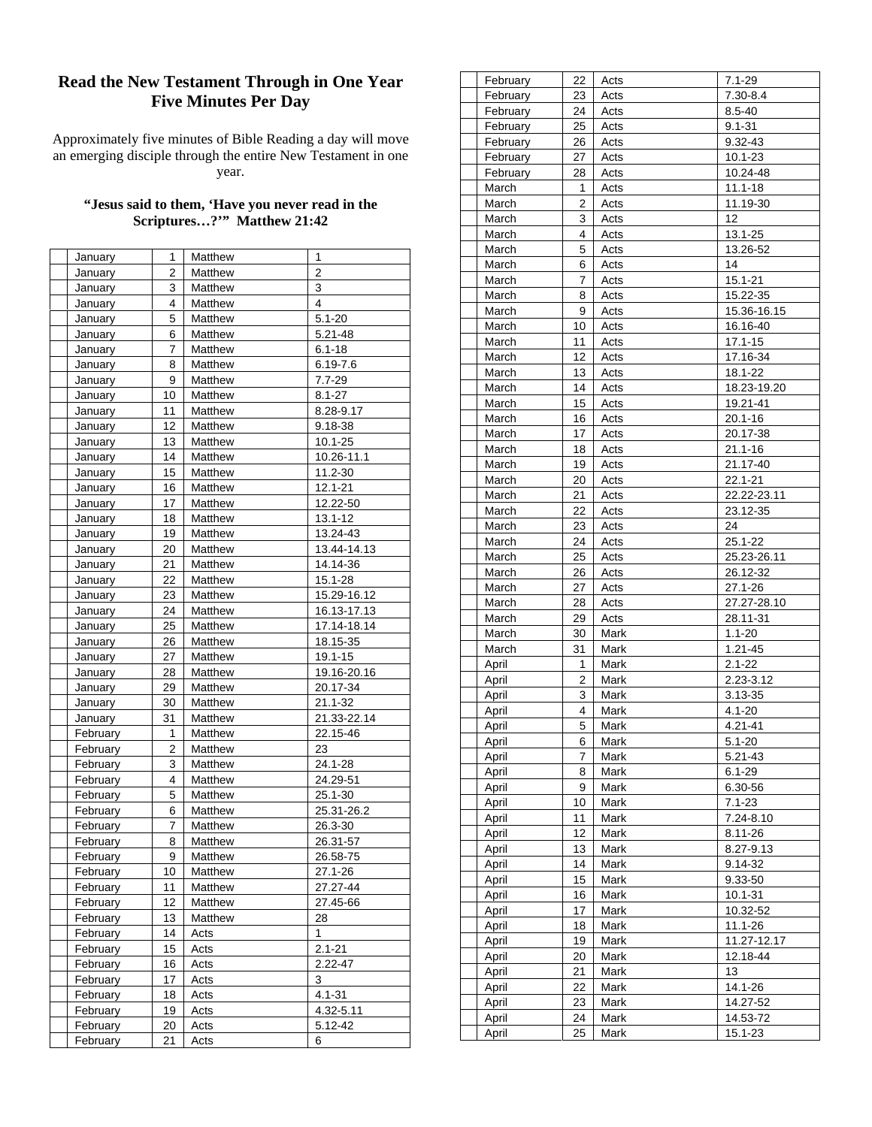## **Read the New Testament Through in One Year Five Minutes Per Day**

Approximately five minutes of Bible Reading a day will move an emerging disciple through the entire New Testament in one year.

## **"Jesus said to them, 'Have you never read in the Scriptures…?'" Matthew 21:42**

| January        | 1  | Matthew | 1              |
|----------------|----|---------|----------------|
| January        | 2  | Matthew | $\overline{2}$ |
| January        | 3  | Matthew | 3              |
| January        | 4  | Matthew | 4              |
| <b>January</b> | 5  | Matthew | $5.1 - 20$     |
| January        | 6  | Matthew | 5.21-48        |
| January        | 7  | Matthew | $6.1 - 18$     |
| January        | 8  | Matthew | $6.19 - 7.6$   |
| <b>January</b> | 9  | Matthew | $7.7 - 29$     |
| January        | 10 | Matthew | $8.1 - 27$     |
| January        | 11 | Matthew | 8.28-9.17      |
| January        | 12 | Matthew | 9.18-38        |
| January        | 13 | Matthew | 10.1-25        |
| January        | 14 | Matthew | 10.26-11.1     |
| <b>January</b> | 15 | Matthew | 11.2-30        |
| January        | 16 | Matthew | 12.1-21        |
| January        | 17 | Matthew | 12.22-50       |
| January        | 18 | Matthew | 13.1-12        |
| <b>January</b> | 19 | Matthew | 13.24-43       |
| January        | 20 | Matthew | 13.44-14.13    |
| January        | 21 | Matthew | 14.14-36       |
| January        | 22 | Matthew | 15.1-28        |
| January        | 23 | Matthew | 15.29-16.12    |
| January        | 24 | Matthew | 16.13-17.13    |
| <b>January</b> | 25 | Matthew | 17.14-18.14    |
| January        | 26 | Matthew | 18.15-35       |
| January        | 27 | Matthew | 19.1-15        |
| January        | 28 | Matthew | 19.16-20.16    |
| <b>January</b> | 29 | Matthew | 20.17-34       |
| January        | 30 | Matthew | 21.1-32        |
| January        | 31 | Matthew | 21.33-22.14    |
| February       | 1  | Matthew | 22.15-46       |
| February       | 2  | Matthew | 23             |
| February       | 3  | Matthew | 24.1-28        |
| February       | 4  | Matthew | 24.29-51       |
| February       | 5  | Matthew | 25.1-30        |
| February       | 6  | Matthew | 25.31-26.2     |
| February       | 7  | Matthew | 26.3-30        |
| February       | 8  | Matthew | 26.31-57       |
| February       | 9  | Matthew | 26.58-75       |
| February       | 10 | Matthew | 27.1-26        |
| February       | 11 | Matthew | 27.27-44       |
| February       | 12 | Matthew | 27.45-66       |
| February       | 13 | Matthew | 28             |
| February       | 14 | Acts    | 1              |
| February       | 15 | Acts    | $2.1 - 21$     |
| February       | 16 | Acts    | 2.22-47        |
| February       | 17 | Acts    | 3              |
| February       | 18 | Acts    | 4.1-31         |
| February       | 19 | Acts    | 4.32-5.11      |
| February       | 20 | Acts    | 5.12-42        |
| February       | 21 | Acts    | 6              |

| February       | 22             | Acts         | 7.1-29              |
|----------------|----------------|--------------|---------------------|
| February       | 23             | Acts         | 7.30-8.4            |
| February       | 24             | Acts         | 8.5-40              |
| February       | 25             | Acts         | $9.1 - 31$          |
| February       | 26             | Acts         | 9.32-43             |
| February       | 27             | Acts         | $10.1 - 23$         |
| February       | 28             | Acts         | 10.24-48            |
| March          | 1              | Acts         | 11.1-18             |
|                | 2              |              |                     |
| March          |                | Acts         | 11.19-30            |
| March          | 3              | Acts         | 12                  |
| March          | 4              | Acts         | 13.1-25             |
| March          | 5              | Acts         | 13.26-52            |
| March          | 6              | Acts         | 14                  |
| March          | 7              | Acts         | 15.1-21             |
| March          | 8              | Acts         | 15.22-35            |
| March          | 9              | Acts         | 15.36-16.15         |
| March          | 10             | Acts         | 16.16-40            |
| March          | 11             | Acts         | 17.1-15             |
| March          | 12             | Acts         | 17.16-34            |
| March          | 13             | Acts         | 18.1-22             |
| March          | 14             | Acts         | 18.23-19.20         |
| March          | 15             |              | 19.21-41            |
|                |                | Acts         |                     |
| March          | 16             | Acts         | 20.1-16             |
| March          | 17             | Acts         | 20.17-38            |
| March          | 18             | Acts         | $21.1 - 16$         |
| March          | 19             | Acts         | 21.17-40            |
| March          | 20             | Acts         | $22.1 - 21$         |
| March          | 21             | Acts         | 22.22-23.11         |
| March          | 22             | Acts         | 23.12-35            |
| March          | 23             | Acts         | 24                  |
| March          | 24             | Acts         | 25.1-22             |
| March          | 25             | Acts         | 25.23-26.11         |
| March          | 26             | Acts         | 26.12-32            |
| March          | 27             | Acts         | 27.1-26             |
| March          | 28             | Acts         | 27.27-28.10         |
| March          | 29             | Acts         | 28.11-31            |
|                |                |              |                     |
| March          | 30             | Mark         | $1.1 - 20$          |
| March          | 31             | Mark         | 1.21-45             |
| April          | 1              | Mark         | $2.1 - 22$          |
| April          | $\overline{c}$ | Mark         | 2.23-3.12           |
| April          | 3              | Mark         | 3.13-35             |
| April          | 4              | Mark         | 4.1-20              |
| April          | 5              | Mark         | 4.21-41             |
| April          | 6              | Mark         | $5.1 - 20$          |
| April          | 7              | Mark         | 5.21-43             |
| April          | 8              | Mark         | $6.1 - 29$          |
| April          | 9              | Mark         | 6.30-56             |
| April          | 10             | Mark         | $7.1 - 23$          |
| April          | 11             | Mark         | 7.24-8.10           |
|                |                |              |                     |
| April          | 12             | Mark         | 8.11-26             |
| April          | 13             | Mark         | 8.27-9.13           |
| April          | 14             | Mark         | 9.14-32             |
| April          | 15             | Mark         | 9.33-50             |
| April          | 16             | Mark         | 10.1-31             |
| April          | 17             | Mark         | 10.32-52            |
| April          | 18             | Mark         | 11.1-26             |
| April          | 19             | Mark         | 11.27-12.17         |
| April          | 20             | Mark         | 12.18-44            |
| April          | 21             | Mark         | 13                  |
|                |                |              |                     |
|                |                |              |                     |
| April          | 22             | Mark         | 14.1-26             |
| April          | 23             | Mark         | 14.27-52            |
| April<br>April | 24<br>25       | Mark<br>Mark | 14.53-72<br>15.1-23 |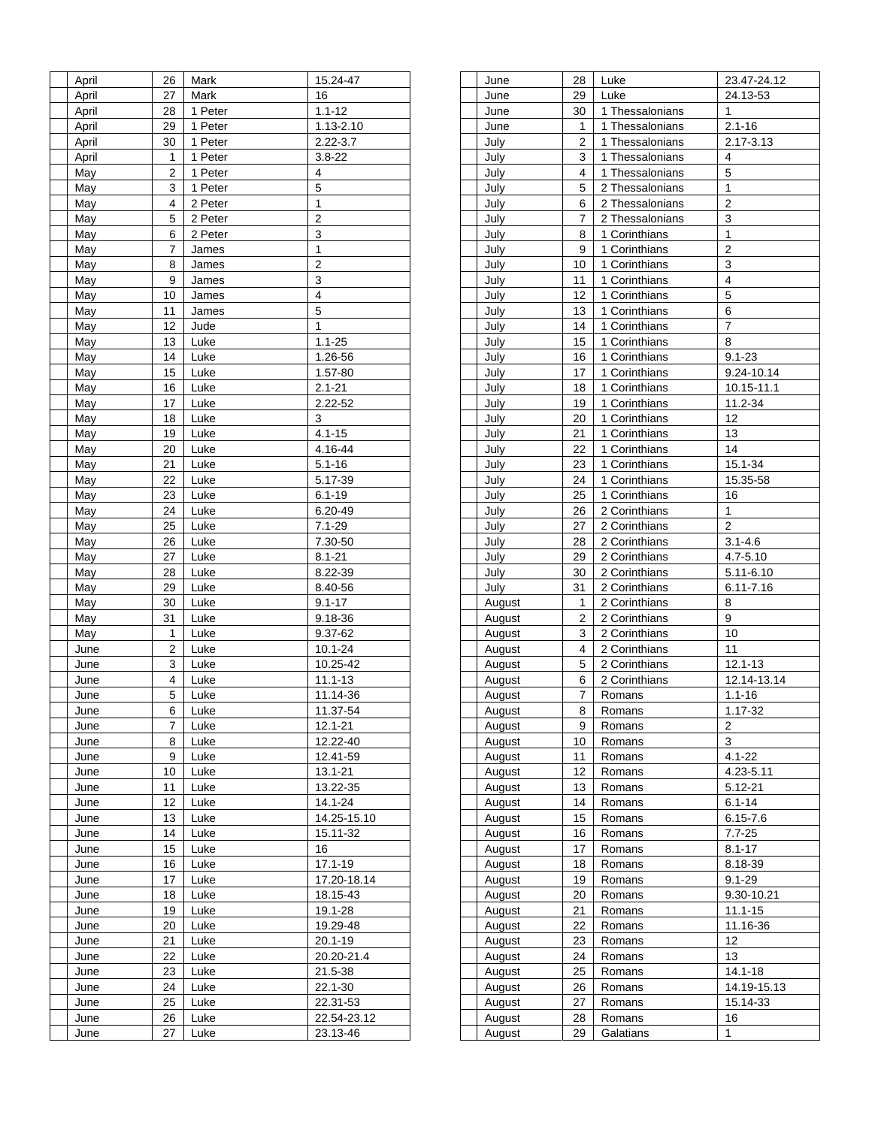| April | 26 | Mark    | 15.24-47       |
|-------|----|---------|----------------|
| April | 27 | Mark    | 16             |
| April | 28 | 1 Peter | $1.1 - 12$     |
| April | 29 | 1 Peter | 1.13-2.10      |
| April | 30 | 1 Peter | $2.22 - 3.7$   |
| April | 1  | 1 Peter | $3.8 - 22$     |
| May   | 2  | 1 Peter | 4              |
| May   | 3  | 1 Peter | 5              |
| May   | 4  | 2 Peter | 1              |
| May   | 5  | 2 Peter | $\overline{2}$ |
|       |    |         |                |
| May   | 6  | 2 Peter | 3              |
| May   | 7  | James   | 1              |
| May   | 8  | James   | 2              |
| May   | 9  | James   | 3              |
| May   | 10 | James   | 4              |
| May   | 11 | James   | 5              |
| May   | 12 | Jude    | 1              |
| May   | 13 | Luke    | $1.1 - 25$     |
| May   | 14 | Luke    | 1.26-56        |
| May   | 15 | Luke    | 1.57-80        |
| May   | 16 | Luke    | $2.1 - 21$     |
| May   | 17 | Luke    | 2.22-52        |
| May   | 18 | Luke    | 3              |
| May   | 19 | Luke    | $4.1 - 15$     |
| May   | 20 | Luke    | 4.16-44        |
| May   | 21 | Luke    | $5.1 - 16$     |
| May   | 22 | Luke    | 5.17-39        |
| May   | 23 | Luke    | $6.1 - 19$     |
| May   | 24 | Luke    | 6.20-49        |
| May   | 25 | Luke    | $7.1 - 29$     |
|       |    |         |                |
| May   | 26 | Luke    | 7.30-50        |
| May   | 27 | Luke    | $8.1 - 21$     |
| May   | 28 | Luke    | 8.22-39        |
| May   | 29 | Luke    | 8.40-56        |
| May   | 30 | Luke    | $9.1 - 17$     |
| May   | 31 | Luke    | 9.18-36        |
| May   | 1  | Luke    | 9.37-62        |
| June  | 2  | Luke    | 10.1-24        |
| June  | 3  | Luke    | 10.25-42       |
| June  | 4  | Luke    | $11.1 - 13$    |
| June  | 5  | Luke    | 11.14-36       |
| June  | 6  | Luke    | 11.37-54       |
| June  | 7  | Luke    | $12.1 - 21$    |
| June  | 8  | Luke    | 12.22-40       |
| June  | 9  | Luke    | 12.41-59       |
| June  | 10 | Luke    | 13.1-21        |
| June  | 11 | Luke    | 13.22-35       |
| June  | 12 | Luke    | 14.1-24        |
| June  | 13 | Luke    | 14.25-15.10    |
| June  | 14 | Luke    | 15.11-32       |
| June  | 15 | Luke    | 16             |
|       |    |         | $17.1 - 19$    |
| June  | 16 | Luke    |                |
| June  | 17 | Luke    | 17.20-18.14    |
| June  | 18 | Luke    | 18.15-43       |
| June  | 19 | Luke    | 19.1-28        |
| June  | 20 | Luke    | 19.29-48       |
| June  | 21 | Luke    | 20.1-19        |
| June  | 22 | Luke    | 20.20-21.4     |
| June  | 23 | Luke    | 21.5-38        |
| June  | 24 | Luke    | 22.1-30        |
| June  | 25 | Luke    | 22.31-53       |
| June  | 26 | Luke    | 22.54-23.12    |
| June  | 27 | Luke    | 23.13-46       |

| June          | 28             | Luke            | 23.47-24.12    |
|---------------|----------------|-----------------|----------------|
| June          | 29             | Luke            | 24.13-53       |
| June          | 30             | 1 Thessalonians | 1              |
| June          | 1              | 1 Thessalonians | $2.1 - 16$     |
| July          | 2              | 1 Thessalonians | 2.17-3.13      |
| July          | 3              | 1 Thessalonians | 4              |
| July          | 4              | 1 Thessalonians | 5              |
| July          | 5              | 2 Thessalonians | 1              |
|               |                |                 | $\overline{2}$ |
| July          | 6              | 2 Thessalonians |                |
| July          | 7              | 2 Thessalonians | 3              |
| July          | 8              | 1 Corinthians   | $\overline{1}$ |
| July          | 9              | 1 Corinthians   | $\overline{2}$ |
| July          | 10             | 1 Corinthians   | 3              |
| July          | 11             | 1 Corinthians   | 4              |
| July          | 12             | 1 Corinthians   | 5              |
| July          | 13             | 1 Corinthians   | 6              |
| July          | 14             | 1 Corinthians   | 7              |
| July          | 15             | 1 Corinthians   | 8              |
| July          | 16             | 1 Corinthians   | $9.1 - 23$     |
| July          | 17             | 1 Corinthians   | 9.24-10.14     |
| July          | 18             | 1 Corinthians   | 10.15-11.1     |
|               | 19             | 1 Corinthians   | 11.2-34        |
| July          |                |                 |                |
| July          | 20             | 1 Corinthians   | 12             |
| July          | 21             | 1 Corinthians   | 13             |
| July          | 22             | 1 Corinthians   | 14             |
| July          | 23             | 1 Corinthians   | 15.1-34        |
| July          | 24             | 1 Corinthians   | 15.35-58       |
| July          | 25             | 1 Corinthians   | 16             |
| July          | 26             | 2 Corinthians   | $\mathbf{1}$   |
| July          | 27             | 2 Corinthians   | 2              |
| July          | 28             | 2 Corinthians   | $3.1 - 4.6$    |
| July          | 29             | 2 Corinthians   | 4.7-5.10       |
| July          | 30             | 2 Corinthians   | 5.11-6.10      |
| July          | 31             | 2 Corinthians   | $6.11 - 7.16$  |
|               | 1              | 2 Corinthians   | 8              |
| August        | $\overline{2}$ | 2 Corinthians   | 9              |
| August        |                |                 |                |
| August        | 3              | 2 Corinthians   | 10             |
| August        | 4              | 2 Corinthians   | 11             |
| August        | 5              | 2 Corinthians   | 12.1-13        |
| August        | 6              | 2 Corinthians   | 12.14-13.14    |
| August        | 7              | Romans          | $1.1 - 16$     |
| August        | 8              | Romans          | $1.17 - 32$    |
| August        | 9              | Romans          | 2              |
| August        | 10             | Romans          | 3              |
| August        | 11             | Romans          | 4.1-22         |
| August        | 12             | Romans          | 4.23-5.11      |
| August        | 13             | Romans          | 5.12-21        |
| <b>August</b> | 14             | Romans          | $6.1 - 14$     |
|               | 15             |                 |                |
| August        |                | Romans          | $6.15 - 7.6$   |
| August        | 16             | Romans          | $7.7 - 25$     |
| August        | 17             | Romans          | $8.1 - 17$     |
| August        | 18             | Romans          | 8.18-39        |
| <b>August</b> | 19             | Romans          | $9.1 - 29$     |
| August        | 20             | Romans          | 9.30-10.21     |
| August        | 21             | Romans          | 11.1-15        |
| August        | 22             | Romans          | 11.16-36       |
| August        | 23             | Romans          | 12             |
| <b>August</b> | 24             | Romans          | 13             |
| August        | 25             | Romans          | 14.1-18        |
| August        | 26             | Romans          | 14.19-15.13    |
|               |                |                 | 15.14-33       |
| August        | 27             | Romans          |                |
| August        | 28             | Romans          | 16             |
| August        | 29             | Galatians       | 1              |